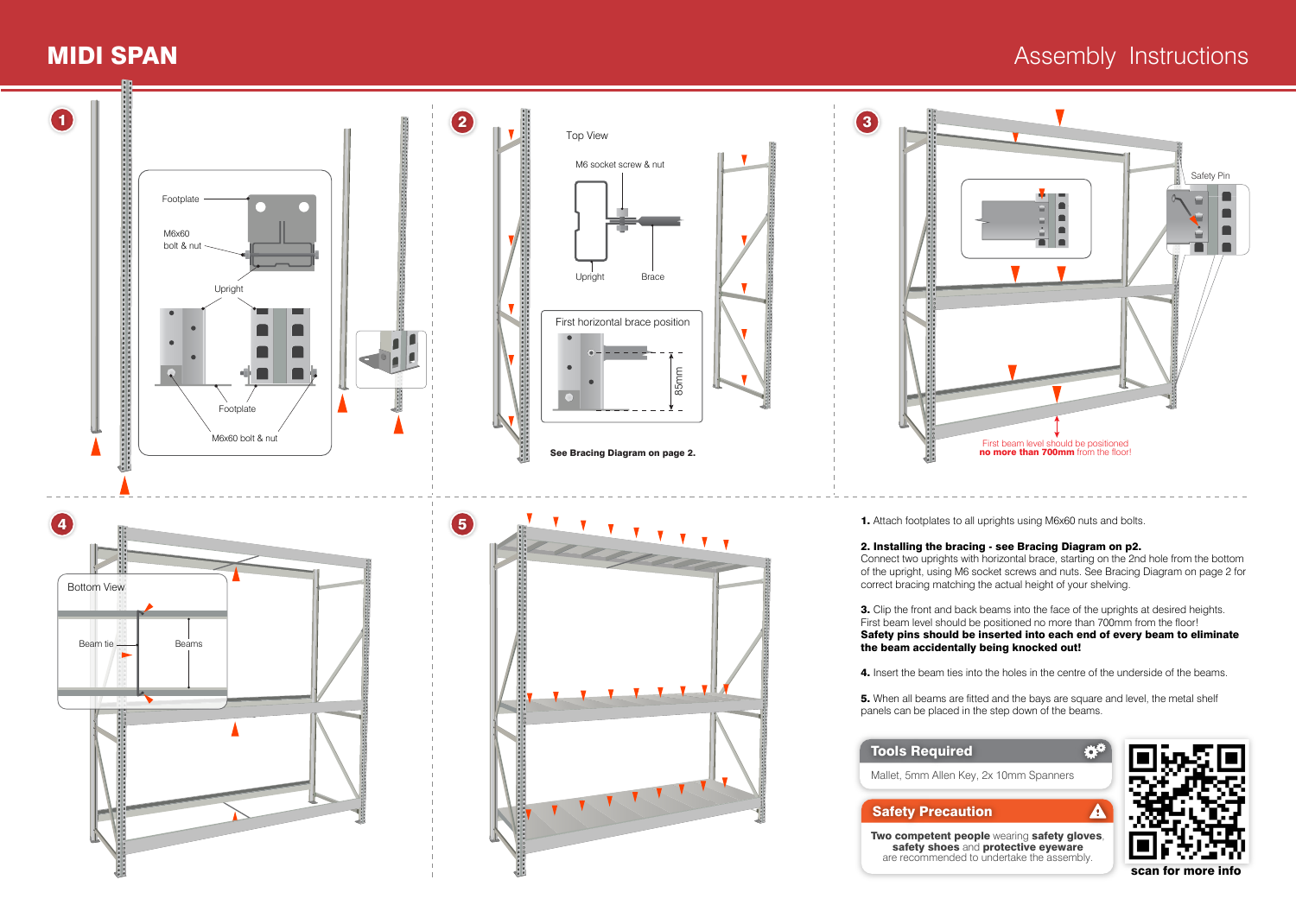## **MIDI SPAN** Assembly Instructions